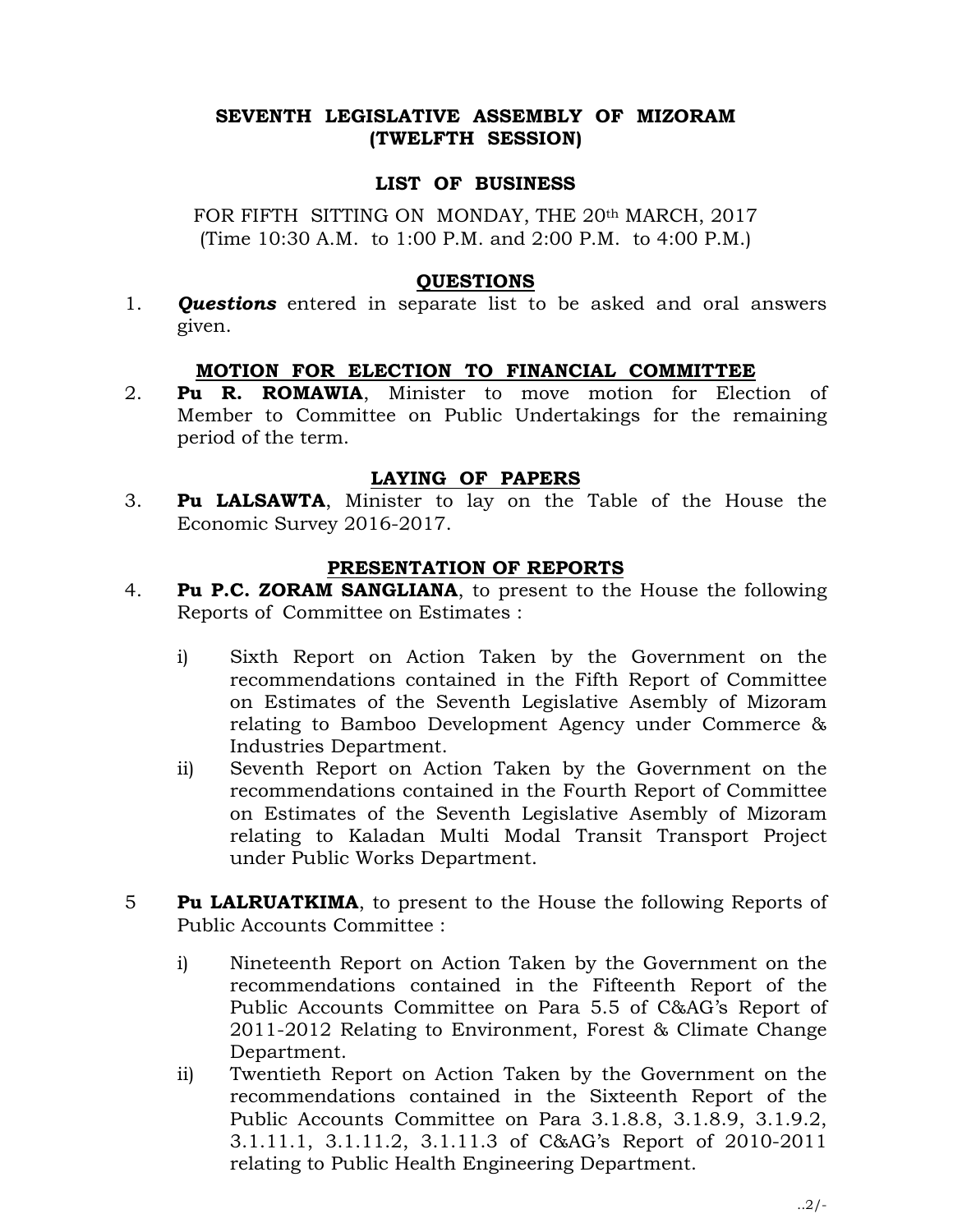## SEVENTH LEGISLATIVE ASSEMBLY OF MIZORAM (TWELFTH SESSION)

#### LIST OF BUSINESS

FOR FIFTH SITTING ON MONDAY, THE 20th MARCH, 2017 (Time 10:30 A.M. to 1:00 P.M. and 2:00 P.M. to 4:00 P.M.)

#### QUESTIONS

1. **Questions** entered in separate list to be asked and oral answers given.

#### MOTION FOR ELECTION TO FINANCIAL COMMITTEE

2. Pu R. ROMAWIA, Minister to move motion for Election of Member to Committee on Public Undertakings for the remaining period of the term.

### LAYING OF PAPERS

3. Pu LALSAWTA, Minister to lay on the Table of the House the Economic Survey 2016-2017.

#### PRESENTATION OF REPORTS

- 4. Pu P.C. ZORAM SANGLIANA, to present to the House the following Reports of Committee on Estimates :
	- i) Sixth Report on Action Taken by the Government on the recommendations contained in the Fifth Report of Committee on Estimates of the Seventh Legislative Asembly of Mizoram relating to Bamboo Development Agency under Commerce & Industries Department.
	- ii) Seventh Report on Action Taken by the Government on the recommendations contained in the Fourth Report of Committee on Estimates of the Seventh Legislative Asembly of Mizoram relating to Kaladan Multi Modal Transit Transport Project under Public Works Department.
- **Fu LALRUATKIMA,** to present to the House the following Reports of Public Accounts Committee :
	- i) Nineteenth Report on Action Taken by the Government on the recommendations contained in the Fifteenth Report of the Public Accounts Committee on Para 5.5 of C&AG's Report of 2011-2012 Relating to Environment, Forest & Climate Change Department.
	- ii) Twentieth Report on Action Taken by the Government on the recommendations contained in the Sixteenth Report of the Public Accounts Committee on Para 3.1.8.8, 3.1.8.9, 3.1.9.2, 3.1.11.1, 3.1.11.2, 3.1.11.3 of C&AG's Report of 2010-2011 relating to Public Health Engineering Department.